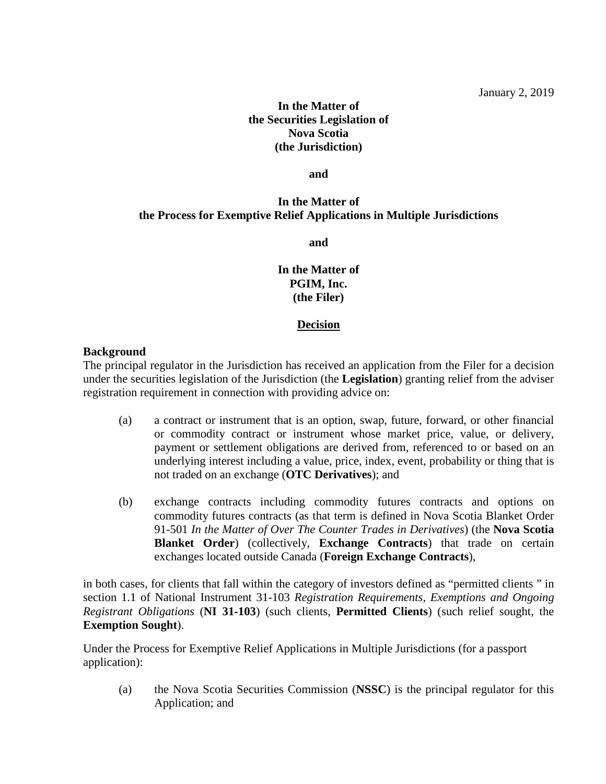# **In the Matter of the Securities Legislation of Nova Scotia (the Jurisdiction)**

**and**

# **In the Matter of the Process for Exemptive Relief Applications in Multiple Jurisdictions**

**and**

**In the Matter of PGIM, Inc. (the Filer)**

## **Decision**

## **Background**

The principal regulator in the Jurisdiction has received an application from the Filer for a decision under the securities legislation of the Jurisdiction (the **Legislation**) granting relief from the adviser registration requirement in connection with providing advice on:

- (a) a contract or instrument that is an option, swap, future, forward, or other financial or commodity contract or instrument whose market price, value, or delivery, payment or settlement obligations are derived from, referenced to or based on an underlying interest including a value, price, index, event, probability or thing that is not traded on an exchange (**OTC Derivatives**); and
- (b) exchange contracts including commodity futures contracts and options on commodity futures contracts (as that term is defined in Nova Scotia Blanket Order 91-501 *In the Matter of Over The Counter Trades in Derivatives*) (the **Nova Scotia Blanket Order**) (collectively, **Exchange Contracts**) that trade on certain exchanges located outside Canada (**Foreign Exchange Contracts**),

in both cases, for clients that fall within the category of investors defined as "permitted clients " in section 1.1 of National Instrument 31-103 *Registration Requirements, Exemptions and Ongoing Registrant Obligations* (**NI 31-103**) (such clients, **Permitted Clients**) (such relief sought, the **Exemption Sought**).

Under the Process for Exemptive Relief Applications in Multiple Jurisdictions (for a passport application):

(a) the Nova Scotia Securities Commission (**NSSC**) is the principal regulator for this Application; and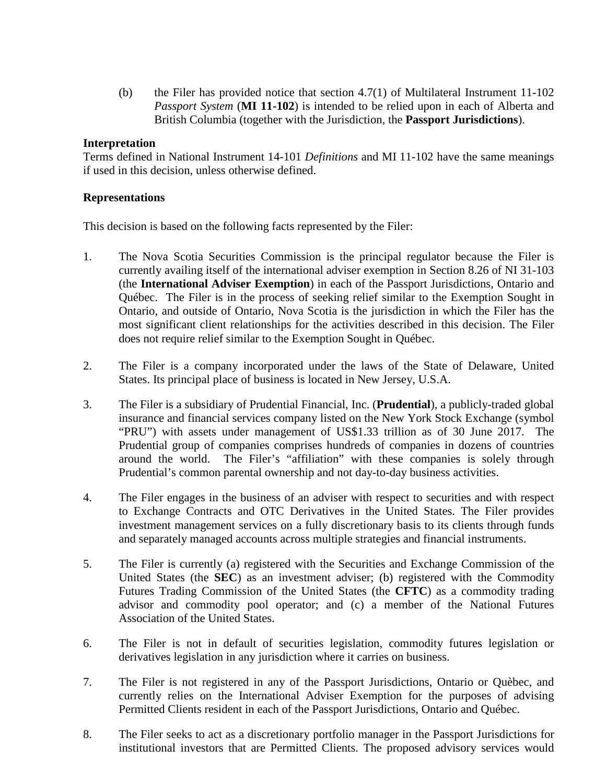(b) the Filer has provided notice that section 4.7(1) of Multilateral Instrument 11-102 *Passport System* (**MI 11-102**) is intended to be relied upon in each of Alberta and British Columbia (together with the Jurisdiction, the **Passport Jurisdictions**).

## **Interpretation**

Terms defined in National Instrument 14-101 *Definitions* and MI 11-102 have the same meanings if used in this decision, unless otherwise defined.

## **Representations**

This decision is based on the following facts represented by the Filer:

- 1. The Nova Scotia Securities Commission is the principal regulator because the Filer is currently availing itself of the international adviser exemption in Section 8.26 of NI 31-103 (the **International Adviser Exemption**) in each of the Passport Jurisdictions, Ontario and Québec. The Filer is in the process of seeking relief similar to the Exemption Sought in Ontario, and outside of Ontario, Nova Scotia is the jurisdiction in which the Filer has the most significant client relationships for the activities described in this decision. The Filer does not require relief similar to the Exemption Sought in Québec.
- 2. The Filer is a company incorporated under the laws of the State of Delaware, United States. Its principal place of business is located in New Jersey, U.S.A.
- 3. The Filer is a subsidiary of Prudential Financial, Inc. (**Prudential**), a publicly-traded global insurance and financial services company listed on the New York Stock Exchange (symbol "PRU") with assets under management of US\$1.33 trillion as of 30 June 2017. The Prudential group of companies comprises hundreds of companies in dozens of countries around the world. The Filer's "affiliation" with these companies is solely through Prudential's common parental ownership and not day-to-day business activities.
- 4. The Filer engages in the business of an adviser with respect to securities and with respect to Exchange Contracts and OTC Derivatives in the United States. The Filer provides investment management services on a fully discretionary basis to its clients through funds and separately managed accounts across multiple strategies and financial instruments.
- 5. The Filer is currently (a) registered with the Securities and Exchange Commission of the United States (the **SEC**) as an investment adviser; (b) registered with the Commodity Futures Trading Commission of the United States (the **CFTC**) as a commodity trading advisor and commodity pool operator; and (c) a member of the National Futures Association of the United States.
- 6. The Filer is not in default of securities legislation, commodity futures legislation or derivatives legislation in any jurisdiction where it carries on business.
- 7. The Filer is not registered in any of the Passport Jurisdictions, Ontario or Quèbec, and currently relies on the International Adviser Exemption for the purposes of advising Permitted Clients resident in each of the Passport Jurisdictions, Ontario and Québec.
- 8. The Filer seeks to act as a discretionary portfolio manager in the Passport Jurisdictions for institutional investors that are Permitted Clients. The proposed advisory services would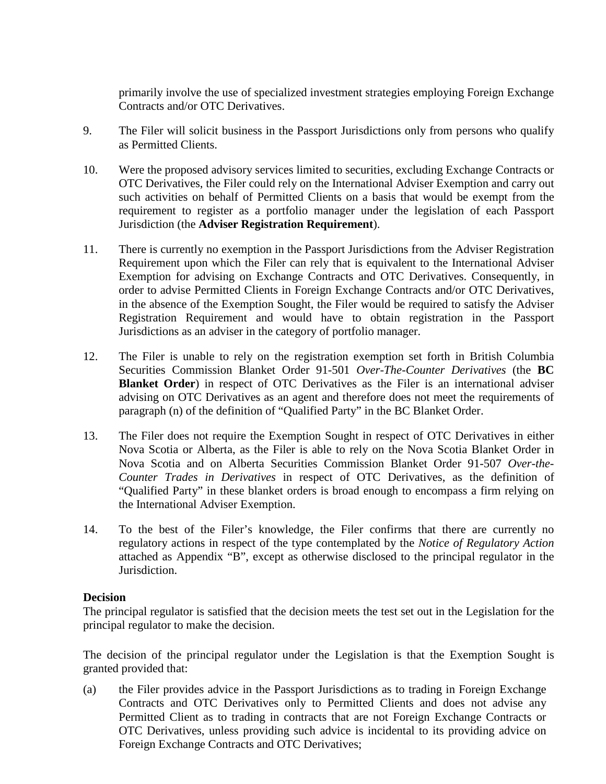primarily involve the use of specialized investment strategies employing Foreign Exchange Contracts and/or OTC Derivatives.

- 9. The Filer will solicit business in the Passport Jurisdictions only from persons who qualify as Permitted Clients.
- 10. Were the proposed advisory services limited to securities, excluding Exchange Contracts or OTC Derivatives, the Filer could rely on the International Adviser Exemption and carry out such activities on behalf of Permitted Clients on a basis that would be exempt from the requirement to register as a portfolio manager under the legislation of each Passport Jurisdiction (the **Adviser Registration Requirement**).
- 11. There is currently no exemption in the Passport Jurisdictions from the Adviser Registration Requirement upon which the Filer can rely that is equivalent to the International Adviser Exemption for advising on Exchange Contracts and OTC Derivatives. Consequently, in order to advise Permitted Clients in Foreign Exchange Contracts and/or OTC Derivatives, in the absence of the Exemption Sought, the Filer would be required to satisfy the Adviser Registration Requirement and would have to obtain registration in the Passport Jurisdictions as an adviser in the category of portfolio manager.
- 12. The Filer is unable to rely on the registration exemption set forth in British Columbia Securities Commission Blanket Order 91-501 *Over-The-Counter Derivatives* (the **BC Blanket Order**) in respect of OTC Derivatives as the Filer is an international adviser advising on OTC Derivatives as an agent and therefore does not meet the requirements of paragraph (n) of the definition of "Qualified Party" in the BC Blanket Order.
- 13. The Filer does not require the Exemption Sought in respect of OTC Derivatives in either Nova Scotia or Alberta, as the Filer is able to rely on the Nova Scotia Blanket Order in Nova Scotia and on Alberta Securities Commission Blanket Order 91-507 *Over-the-Counter Trades in Derivatives* in respect of OTC Derivatives, as the definition of "Qualified Party" in these blanket orders is broad enough to encompass a firm relying on the International Adviser Exemption.
- 14. To the best of the Filer's knowledge, the Filer confirms that there are currently no regulatory actions in respect of the type contemplated by the *Notice of Regulatory Action* attached as Appendix "B", except as otherwise disclosed to the principal regulator in the Jurisdiction.

## **Decision**

The principal regulator is satisfied that the decision meets the test set out in the Legislation for the principal regulator to make the decision.

The decision of the principal regulator under the Legislation is that the Exemption Sought is granted provided that:

(a) the Filer provides advice in the Passport Jurisdictions as to trading in Foreign Exchange Contracts and OTC Derivatives only to Permitted Clients and does not advise any Permitted Client as to trading in contracts that are not Foreign Exchange Contracts or OTC Derivatives, unless providing such advice is incidental to its providing advice on Foreign Exchange Contracts and OTC Derivatives;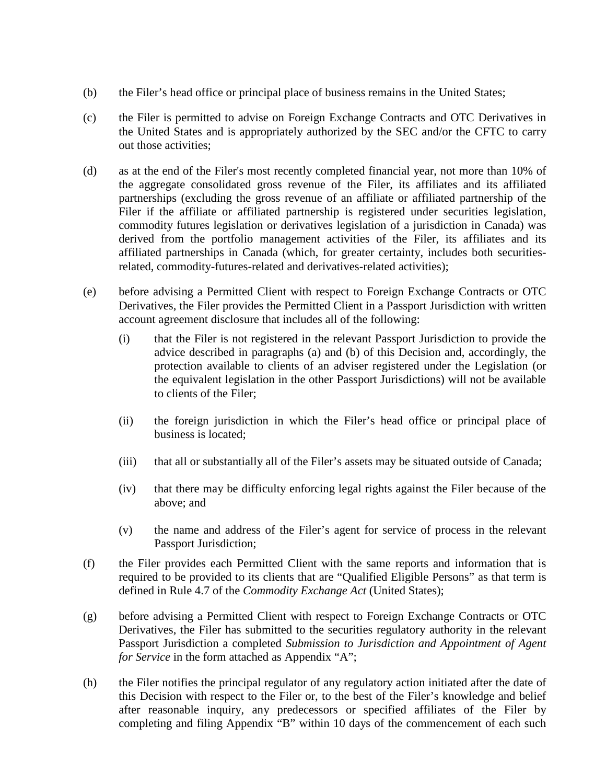- (b) the Filer's head office or principal place of business remains in the United States;
- (c) the Filer is permitted to advise on Foreign Exchange Contracts and OTC Derivatives in the United States and is appropriately authorized by the SEC and/or the CFTC to carry out those activities;
- (d) as at the end of the Filer's most recently completed financial year, not more than 10% of the aggregate consolidated gross revenue of the Filer, its affiliates and its affiliated partnerships (excluding the gross revenue of an affiliate or affiliated partnership of the Filer if the affiliate or affiliated partnership is registered under securities legislation, commodity futures legislation or derivatives legislation of a jurisdiction in Canada) was derived from the portfolio management activities of the Filer, its affiliates and its affiliated partnerships in Canada (which, for greater certainty, includes both securitiesrelated, commodity-futures-related and derivatives-related activities);
- (e) before advising a Permitted Client with respect to Foreign Exchange Contracts or OTC Derivatives, the Filer provides the Permitted Client in a Passport Jurisdiction with written account agreement disclosure that includes all of the following:
	- (i) that the Filer is not registered in the relevant Passport Jurisdiction to provide the advice described in paragraphs (a) and (b) of this Decision and, accordingly, the protection available to clients of an adviser registered under the Legislation (or the equivalent legislation in the other Passport Jurisdictions) will not be available to clients of the Filer;
	- (ii) the foreign jurisdiction in which the Filer's head office or principal place of business is located;
	- (iii) that all or substantially all of the Filer's assets may be situated outside of Canada;
	- (iv) that there may be difficulty enforcing legal rights against the Filer because of the above; and
	- (v) the name and address of the Filer's agent for service of process in the relevant Passport Jurisdiction;
- (f) the Filer provides each Permitted Client with the same reports and information that is required to be provided to its clients that are "Qualified Eligible Persons" as that term is defined in Rule 4.7 of the *Commodity Exchange Act* (United States);
- (g) before advising a Permitted Client with respect to Foreign Exchange Contracts or OTC Derivatives, the Filer has submitted to the securities regulatory authority in the relevant Passport Jurisdiction a completed *Submission to Jurisdiction and Appointment of Agent for Service* in the form attached as Appendix "A";
- (h) the Filer notifies the principal regulator of any regulatory action initiated after the date of this Decision with respect to the Filer or, to the best of the Filer's knowledge and belief after reasonable inquiry, any predecessors or specified affiliates of the Filer by completing and filing Appendix "B" within 10 days of the commencement of each such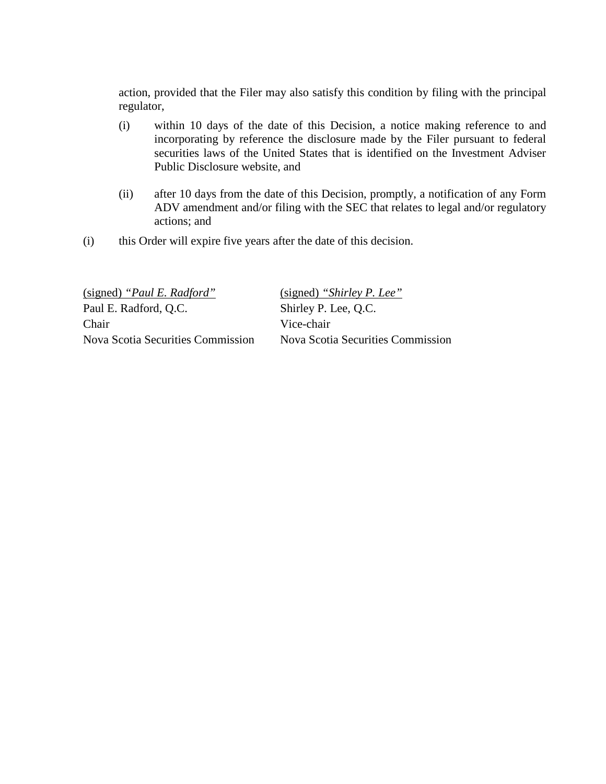action, provided that the Filer may also satisfy this condition by filing with the principal regulator,

- (i) within 10 days of the date of this Decision, a notice making reference to and incorporating by reference the disclosure made by the Filer pursuant to federal securities laws of the United States that is identified on the Investment Adviser Public Disclosure website, and
- (ii) after 10 days from the date of this Decision, promptly, a notification of any Form ADV amendment and/or filing with the SEC that relates to legal and/or regulatory actions; and
- (i) this Order will expire five years after the date of this decision.

| (signed) "Shirley P. Lee"         |
|-----------------------------------|
| Shirley P. Lee, Q.C.              |
| Vice-chair                        |
| Nova Scotia Securities Commission |
|                                   |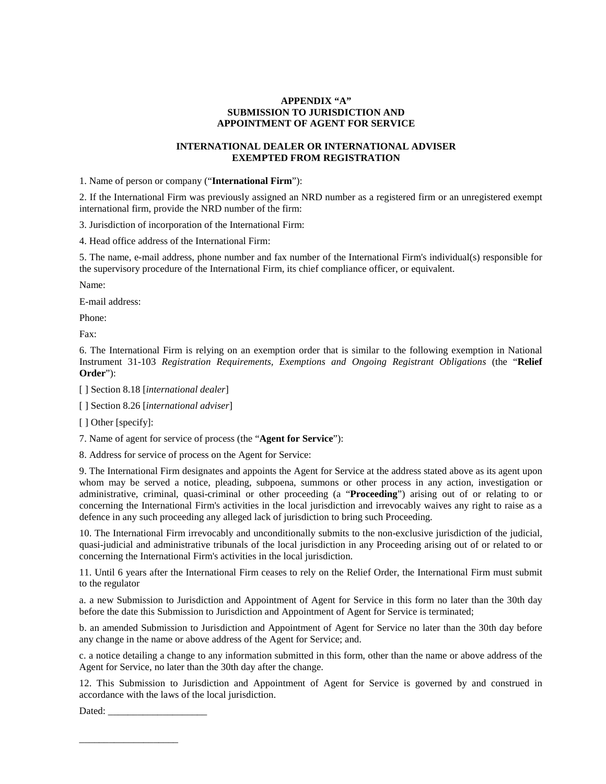#### **APPENDIX "A" SUBMISSION TO JURISDICTION AND APPOINTMENT OF AGENT FOR SERVICE**

#### **INTERNATIONAL DEALER OR INTERNATIONAL ADVISER EXEMPTED FROM REGISTRATION**

1. Name of person or company ("**International Firm**"):

2. If the International Firm was previously assigned an NRD number as a registered firm or an unregistered exempt international firm, provide the NRD number of the firm:

3. Jurisdiction of incorporation of the International Firm:

4. Head office address of the International Firm:

5. The name, e-mail address, phone number and fax number of the International Firm's individual(s) responsible for the supervisory procedure of the International Firm, its chief compliance officer, or equivalent.

Name:

E-mail address:

Phone:

Fax:

6. The International Firm is relying on an exemption order that is similar to the following exemption in National Instrument 31-103 *Registration Requirements, Exemptions and Ongoing Registrant Obligations* (the "**Relief Order**"):

[ ] Section 8.18 [*international dealer*]

[ ] Section 8.26 [*international adviser*]

[ ] Other [specify]:

7. Name of agent for service of process (the "**Agent for Service**"):

8. Address for service of process on the Agent for Service:

9. The International Firm designates and appoints the Agent for Service at the address stated above as its agent upon whom may be served a notice, pleading, subpoena, summons or other process in any action, investigation or administrative, criminal, quasi-criminal or other proceeding (a "**Proceeding**") arising out of or relating to or concerning the International Firm's activities in the local jurisdiction and irrevocably waives any right to raise as a defence in any such proceeding any alleged lack of jurisdiction to bring such Proceeding.

10. The International Firm irrevocably and unconditionally submits to the non-exclusive jurisdiction of the judicial, quasi-judicial and administrative tribunals of the local jurisdiction in any Proceeding arising out of or related to or concerning the International Firm's activities in the local jurisdiction.

11. Until 6 years after the International Firm ceases to rely on the Relief Order, the International Firm must submit to the regulator

a. a new Submission to Jurisdiction and Appointment of Agent for Service in this form no later than the 30th day before the date this Submission to Jurisdiction and Appointment of Agent for Service is terminated;

b. an amended Submission to Jurisdiction and Appointment of Agent for Service no later than the 30th day before any change in the name or above address of the Agent for Service; and.

c. a notice detailing a change to any information submitted in this form, other than the name or above address of the Agent for Service, no later than the 30th day after the change.

12. This Submission to Jurisdiction and Appointment of Agent for Service is governed by and construed in accordance with the laws of the local jurisdiction.

Dated:

\_\_\_\_\_\_\_\_\_\_\_\_\_\_\_\_\_\_\_\_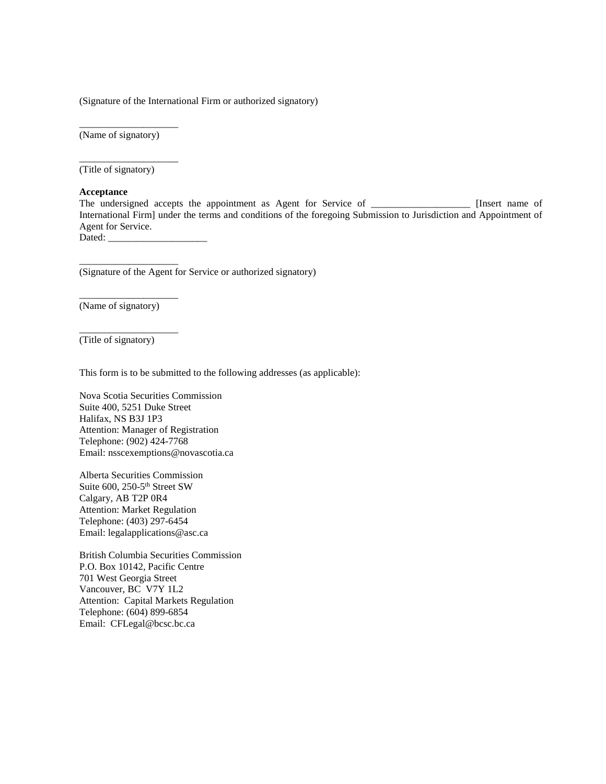(Signature of the International Firm or authorized signatory)

(Name of signatory)

\_\_\_\_\_\_\_\_\_\_\_\_\_\_\_\_\_\_\_\_

\_\_\_\_\_\_\_\_\_\_\_\_\_\_\_\_\_\_\_\_

(Title of signatory)

#### **Acceptance**

The undersigned accepts the appointment as Agent for Service of \_\_\_\_\_\_\_\_\_\_\_\_\_\_\_\_\_\_\_\_\_\_ [Insert name of International Firm] under the terms and conditions of the foregoing Submission to Jurisdiction and Appointment of Agent for Service.

Dated: \_\_\_\_\_\_\_\_\_\_\_\_\_\_\_\_\_\_\_\_

(Signature of the Agent for Service or authorized signatory)

(Name of signatory)

\_\_\_\_\_\_\_\_\_\_\_\_\_\_\_\_\_\_\_\_

\_\_\_\_\_\_\_\_\_\_\_\_\_\_\_\_\_\_\_\_

\_\_\_\_\_\_\_\_\_\_\_\_\_\_\_\_\_\_\_\_

(Title of signatory)

This form is to be submitted to the following addresses (as applicable):

Nova Scotia Securities Commission Suite 400, 5251 Duke Street Halifax, NS B3J 1P3 Attention: Manager of Registration Telephone: (902) 424-7768 Email: nsscexemptions@novascotia.ca

Alberta Securities Commission Suite 600, 250-5<sup>th</sup> Street SW Calgary, AB T2P 0R4 Attention: Market Regulation Telephone: (403) 297-6454 Email: legalapplications@asc.ca

British Columbia Securities Commission P.O. Box 10142, Pacific Centre 701 West Georgia Street Vancouver, BC V7Y 1L2 Attention: Capital Markets Regulation Telephone: (604) 899-6854 Email: CFLegal@bcsc.bc.ca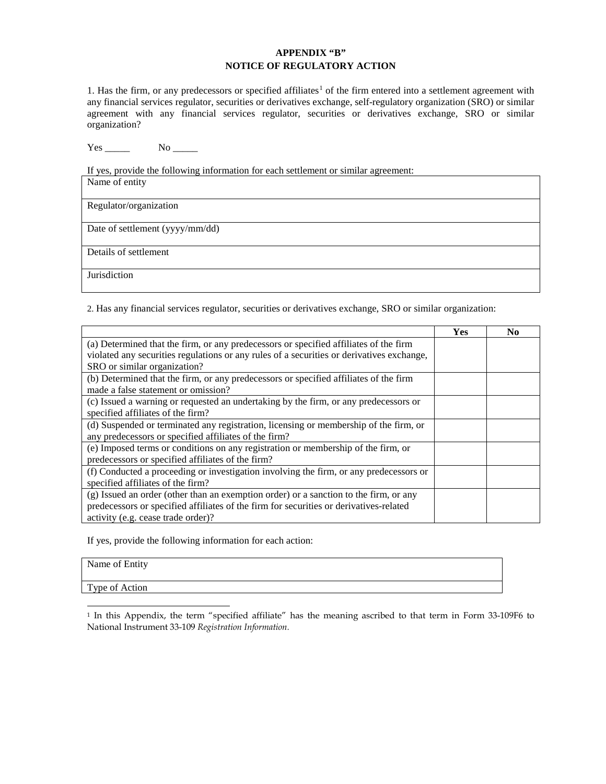#### **APPENDIX "B" NOTICE OF REGULATORY ACTION**

[1](#page-7-0). Has the firm, or any predecessors or specified affiliates<sup>1</sup> of the firm entered into a settlement agreement with any financial services regulator, securities or derivatives exchange, self-regulatory organization (SRO) or similar agreement with any financial services regulator, securities or derivatives exchange, SRO or similar organization?

 $Yes \_\_\_\_\_\$  No  $\_\_\_\_\$ 

If yes, provide the following information for each settlement or similar agreement:

| Name of entity                  |
|---------------------------------|
| Regulator/organization          |
| Date of settlement (yyyy/mm/dd) |
| Details of settlement           |
| Jurisdiction                    |

2. Has any financial services regulator, securities or derivatives exchange, SRO or similar organization:

|                                                                                           | <b>Yes</b> | N <sub>0</sub> |
|-------------------------------------------------------------------------------------------|------------|----------------|
| (a) Determined that the firm, or any predecessors or specified affiliates of the firm     |            |                |
| violated any securities regulations or any rules of a securities or derivatives exchange, |            |                |
| SRO or similar organization?                                                              |            |                |
| (b) Determined that the firm, or any predecessors or specified affiliates of the firm     |            |                |
| made a false statement or omission?                                                       |            |                |
| (c) Issued a warning or requested an undertaking by the firm, or any predecessors or      |            |                |
| specified affiliates of the firm?                                                         |            |                |
| (d) Suspended or terminated any registration, licensing or membership of the firm, or     |            |                |
| any predecessors or specified affiliates of the firm?                                     |            |                |
| (e) Imposed terms or conditions on any registration or membership of the firm, or         |            |                |
| predecessors or specified affiliates of the firm?                                         |            |                |
| (f) Conducted a proceeding or investigation involving the firm, or any predecessors or    |            |                |
| specified affiliates of the firm?                                                         |            |                |
| (g) Issued an order (other than an exemption order) or a sanction to the firm, or any     |            |                |
| predecessors or specified affiliates of the firm for securities or derivatives-related    |            |                |
| activity (e.g. cease trade order)?                                                        |            |                |

If yes, provide the following information for each action:

|  | Name of Entity |
|--|----------------|
|--|----------------|

Type of Action

<span id="page-7-0"></span>-<sup>1</sup> In this Appendix, the term "specified affiliate" has the meaning ascribed to that term in Form 33-109F6 to National Instrument 33-109 *Registration Information.*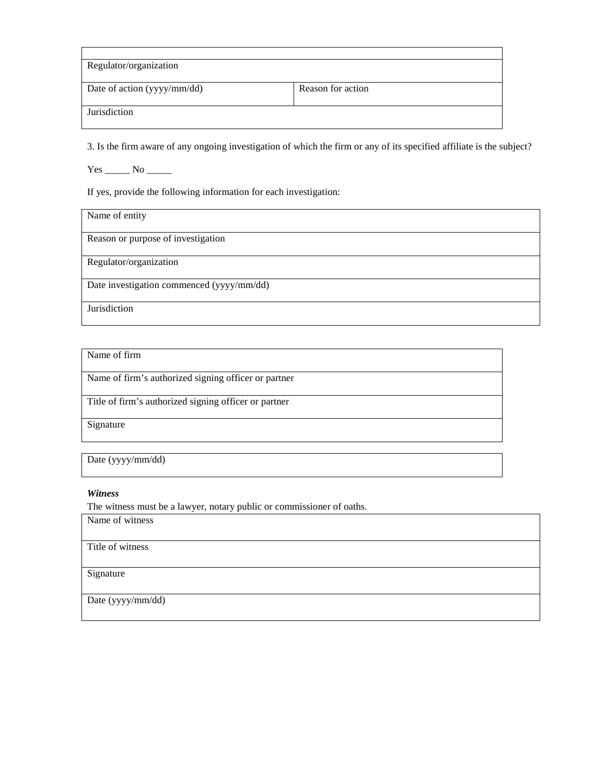| Reason for action |
|-------------------|
|                   |
|                   |
|                   |

3. Is the firm aware of any ongoing investigation of which the firm or any of its specified affiliate is the subject?

 $Yes \_\_ No \_\_$ 

If yes, provide the following information for each investigation:

Name of entity

Reason or purpose of investigation

Regulator/organization

Date investigation commenced (yyyy/mm/dd)

Jurisdiction

Name of firm

Name of firm's authorized signing officer or partner

Title of firm's authorized signing officer or partner

Signature

Date (yyyy/mm/dd)

#### *Witness*

The witness must be a lawyer, notary public or commissioner of oaths. Name of witness

Title of witness

Signature

Date (yyyy/mm/dd)